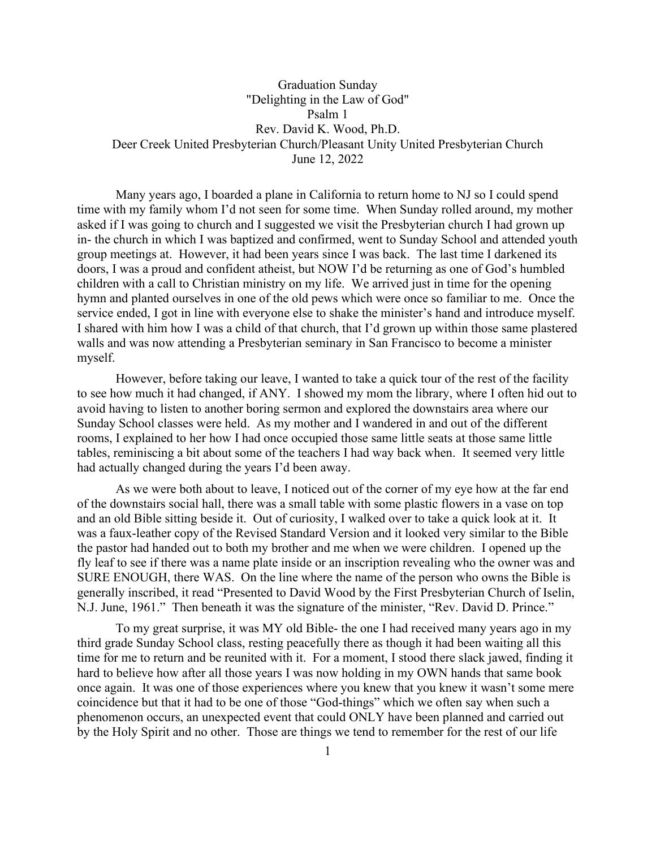## Graduation Sunday "Delighting in the Law of God" Psalm 1 Rev. David K. Wood, Ph.D. Deer Creek United Presbyterian Church/Pleasant Unity United Presbyterian Church June 12, 2022

Many years ago, I boarded a plane in California to return home to NJ so I could spend time with my family whom I'd not seen for some time. When Sunday rolled around, my mother asked if I was going to church and I suggested we visit the Presbyterian church I had grown up in- the church in which I was baptized and confirmed, went to Sunday School and attended youth group meetings at. However, it had been years since I was back. The last time I darkened its doors, I was a proud and confident atheist, but NOW I'd be returning as one of God's humbled children with a call to Christian ministry on my life. We arrived just in time for the opening hymn and planted ourselves in one of the old pews which were once so familiar to me. Once the service ended, I got in line with everyone else to shake the minister's hand and introduce myself. I shared with him how I was a child of that church, that I'd grown up within those same plastered walls and was now attending a Presbyterian seminary in San Francisco to become a minister myself.

However, before taking our leave, I wanted to take a quick tour of the rest of the facility to see how much it had changed, if ANY. I showed my mom the library, where I often hid out to avoid having to listen to another boring sermon and explored the downstairs area where our Sunday School classes were held. As my mother and I wandered in and out of the different rooms, I explained to her how I had once occupied those same little seats at those same little tables, reminiscing a bit about some of the teachers I had way back when. It seemed very little had actually changed during the years I'd been away.

As we were both about to leave, I noticed out of the corner of my eye how at the far end of the downstairs social hall, there was a small table with some plastic flowers in a vase on top and an old Bible sitting beside it. Out of curiosity, I walked over to take a quick look at it. It was a faux-leather copy of the Revised Standard Version and it looked very similar to the Bible the pastor had handed out to both my brother and me when we were children. I opened up the fly leaf to see if there was a name plate inside or an inscription revealing who the owner was and SURE ENOUGH, there WAS. On the line where the name of the person who owns the Bible is generally inscribed, it read "Presented to David Wood by the First Presbyterian Church of Iselin, N.J. June, 1961." Then beneath it was the signature of the minister, "Rev. David D. Prince."

To my great surprise, it was MY old Bible- the one I had received many years ago in my third grade Sunday School class, resting peacefully there as though it had been waiting all this time for me to return and be reunited with it. For a moment, I stood there slack jawed, finding it hard to believe how after all those years I was now holding in my OWN hands that same book once again. It was one of those experiences where you knew that you knew it wasn't some mere coincidence but that it had to be one of those "God-things" which we often say when such a phenomenon occurs, an unexpected event that could ONLY have been planned and carried out by the Holy Spirit and no other. Those are things we tend to remember for the rest of our life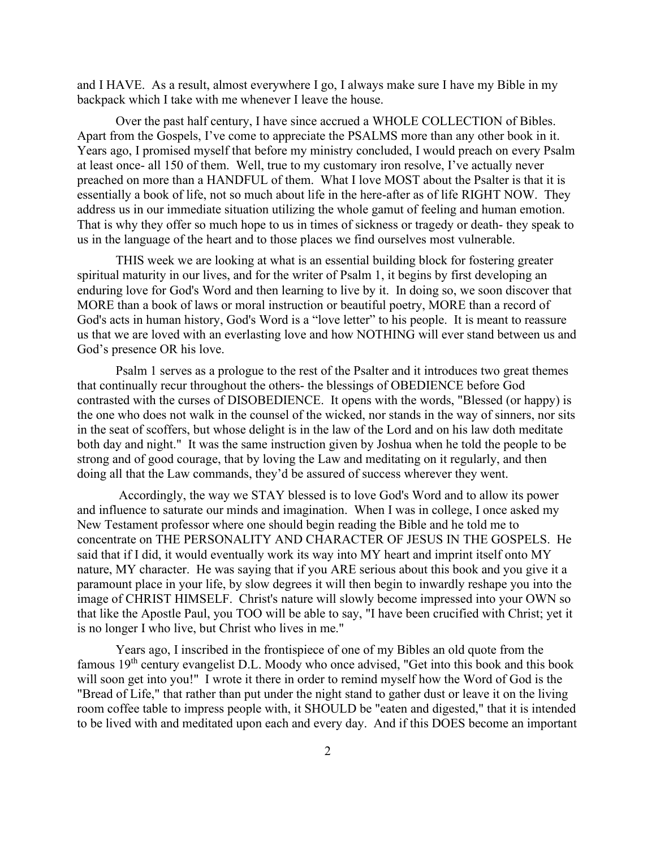and I HAVE. As a result, almost everywhere I go, I always make sure I have my Bible in my backpack which I take with me whenever I leave the house.

Over the past half century, I have since accrued a WHOLE COLLECTION of Bibles. Apart from the Gospels, I've come to appreciate the PSALMS more than any other book in it. Years ago, I promised myself that before my ministry concluded, I would preach on every Psalm at least once- all 150 of them. Well, true to my customary iron resolve, I've actually never preached on more than a HANDFUL of them. What I love MOST about the Psalter is that it is essentially a book of life, not so much about life in the here-after as of life RIGHT NOW. They address us in our immediate situation utilizing the whole gamut of feeling and human emotion. That is why they offer so much hope to us in times of sickness or tragedy or death- they speak to us in the language of the heart and to those places we find ourselves most vulnerable.

THIS week we are looking at what is an essential building block for fostering greater spiritual maturity in our lives, and for the writer of Psalm 1, it begins by first developing an enduring love for God's Word and then learning to live by it. In doing so, we soon discover that MORE than a book of laws or moral instruction or beautiful poetry, MORE than a record of God's acts in human history, God's Word is a "love letter" to his people. It is meant to reassure us that we are loved with an everlasting love and how NOTHING will ever stand between us and God's presence OR his love.

Psalm 1 serves as a prologue to the rest of the Psalter and it introduces two great themes that continually recur throughout the others- the blessings of OBEDIENCE before God contrasted with the curses of DISOBEDIENCE. It opens with the words, "Blessed (or happy) is the one who does not walk in the counsel of the wicked, nor stands in the way of sinners, nor sits in the seat of scoffers, but whose delight is in the law of the Lord and on his law doth meditate both day and night." It was the same instruction given by Joshua when he told the people to be strong and of good courage, that by loving the Law and meditating on it regularly, and then doing all that the Law commands, they'd be assured of success wherever they went.

Accordingly, the way we STAY blessed is to love God's Word and to allow its power and influence to saturate our minds and imagination. When I was in college, I once asked my New Testament professor where one should begin reading the Bible and he told me to concentrate on THE PERSONALITY AND CHARACTER OF JESUS IN THE GOSPELS. He said that if I did, it would eventually work its way into MY heart and imprint itself onto MY nature, MY character. He was saying that if you ARE serious about this book and you give it a paramount place in your life, by slow degrees it will then begin to inwardly reshape you into the image of CHRIST HIMSELF. Christ's nature will slowly become impressed into your OWN so that like the Apostle Paul, you TOO will be able to say, "I have been crucified with Christ; yet it is no longer I who live, but Christ who lives in me."

Years ago, I inscribed in the frontispiece of one of my Bibles an old quote from the famous 19<sup>th</sup> century evangelist D.L. Moody who once advised, "Get into this book and this book will soon get into you!" I wrote it there in order to remind myself how the Word of God is the "Bread of Life," that rather than put under the night stand to gather dust or leave it on the living room coffee table to impress people with, it SHOULD be "eaten and digested," that it is intended to be lived with and meditated upon each and every day. And if this DOES become an important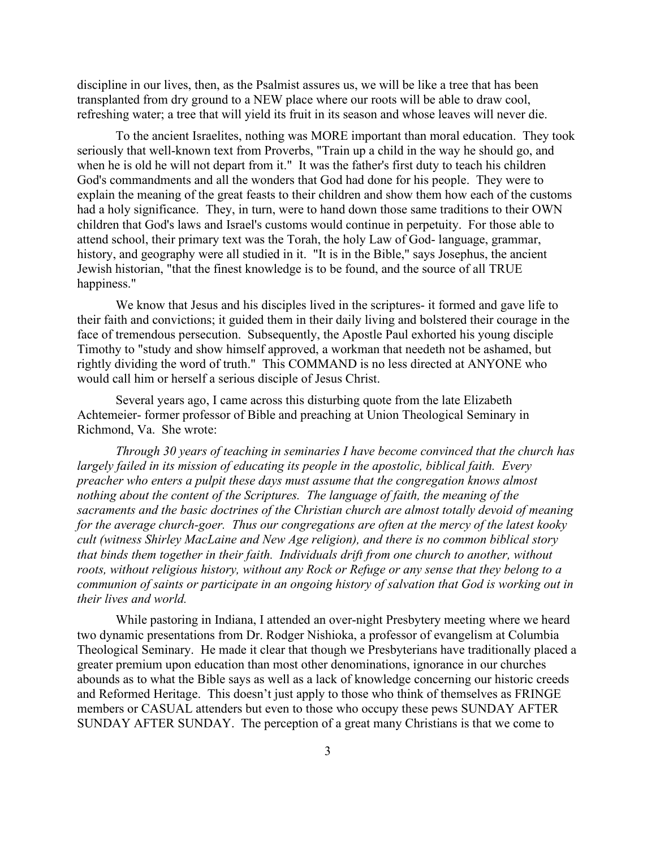discipline in our lives, then, as the Psalmist assures us, we will be like a tree that has been transplanted from dry ground to a NEW place where our roots will be able to draw cool, refreshing water; a tree that will yield its fruit in its season and whose leaves will never die.

To the ancient Israelites, nothing was MORE important than moral education. They took seriously that well-known text from Proverbs, "Train up a child in the way he should go, and when he is old he will not depart from it." It was the father's first duty to teach his children God's commandments and all the wonders that God had done for his people. They were to explain the meaning of the great feasts to their children and show them how each of the customs had a holy significance. They, in turn, were to hand down those same traditions to their OWN children that God's laws and Israel's customs would continue in perpetuity. For those able to attend school, their primary text was the Torah, the holy Law of God- language, grammar, history, and geography were all studied in it. "It is in the Bible," says Josephus, the ancient Jewish historian, "that the finest knowledge is to be found, and the source of all TRUE happiness."

We know that Jesus and his disciples lived in the scriptures- it formed and gave life to their faith and convictions; it guided them in their daily living and bolstered their courage in the face of tremendous persecution. Subsequently, the Apostle Paul exhorted his young disciple Timothy to "study and show himself approved, a workman that needeth not be ashamed, but rightly dividing the word of truth." This COMMAND is no less directed at ANYONE who would call him or herself a serious disciple of Jesus Christ.

Several years ago, I came across this disturbing quote from the late Elizabeth Achtemeier- former professor of Bible and preaching at Union Theological Seminary in Richmond, Va. She wrote:

*Through 30 years of teaching in seminaries I have become convinced that the church has largely failed in its mission of educating its people in the apostolic, biblical faith. Every preacher who enters a pulpit these days must assume that the congregation knows almost nothing about the content of the Scriptures. The language of faith, the meaning of the sacraments and the basic doctrines of the Christian church are almost totally devoid of meaning for the average church-goer. Thus our congregations are often at the mercy of the latest kooky cult (witness Shirley MacLaine and New Age religion), and there is no common biblical story that binds them together in their faith. Individuals drift from one church to another, without roots, without religious history, without any Rock or Refuge or any sense that they belong to a communion of saints or participate in an ongoing history of salvation that God is working out in their lives and world.*

While pastoring in Indiana, I attended an over-night Presbytery meeting where we heard two dynamic presentations from Dr. Rodger Nishioka, a professor of evangelism at Columbia Theological Seminary. He made it clear that though we Presbyterians have traditionally placed a greater premium upon education than most other denominations, ignorance in our churches abounds as to what the Bible says as well as a lack of knowledge concerning our historic creeds and Reformed Heritage. This doesn't just apply to those who think of themselves as FRINGE members or CASUAL attenders but even to those who occupy these pews SUNDAY AFTER SUNDAY AFTER SUNDAY. The perception of a great many Christians is that we come to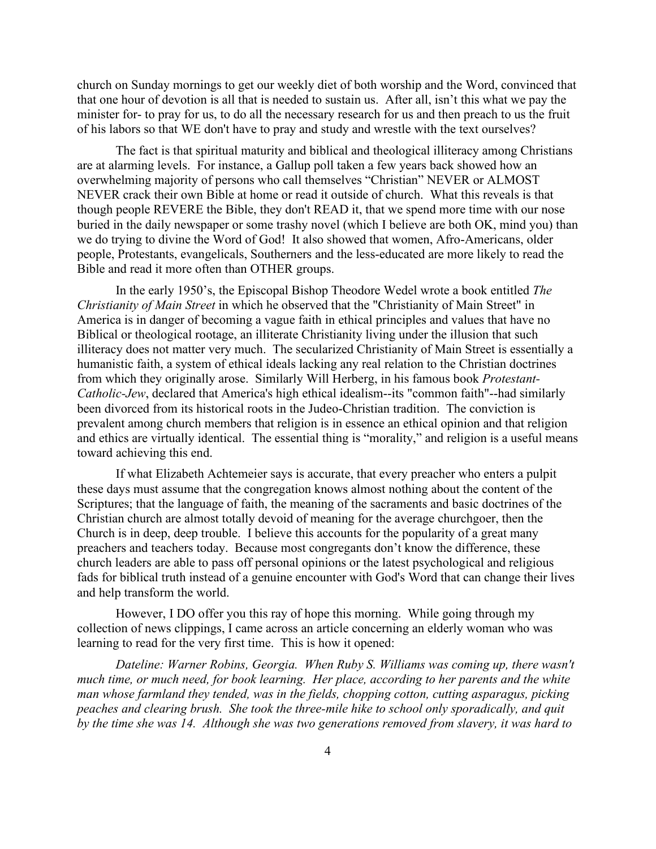church on Sunday mornings to get our weekly diet of both worship and the Word, convinced that that one hour of devotion is all that is needed to sustain us. After all, isn't this what we pay the minister for- to pray for us, to do all the necessary research for us and then preach to us the fruit of his labors so that WE don't have to pray and study and wrestle with the text ourselves?

The fact is that spiritual maturity and biblical and theological illiteracy among Christians are at alarming levels. For instance, a Gallup poll taken a few years back showed how an overwhelming majority of persons who call themselves "Christian" NEVER or ALMOST NEVER crack their own Bible at home or read it outside of church. What this reveals is that though people REVERE the Bible, they don't READ it, that we spend more time with our nose buried in the daily newspaper or some trashy novel (which I believe are both OK, mind you) than we do trying to divine the Word of God! It also showed that women, Afro-Americans, older people, Protestants, evangelicals, Southerners and the less-educated are more likely to read the Bible and read it more often than OTHER groups.

In the early 1950's, the Episcopal Bishop Theodore Wedel wrote a book entitled *The Christianity of Main Street* in which he observed that the "Christianity of Main Street" in America is in danger of becoming a vague faith in ethical principles and values that have no Biblical or theological rootage, an illiterate Christianity living under the illusion that such illiteracy does not matter very much. The secularized Christianity of Main Street is essentially a humanistic faith, a system of ethical ideals lacking any real relation to the Christian doctrines from which they originally arose. Similarly Will Herberg, in his famous book *Protestant-Catholic-Jew*, declared that America's high ethical idealism--its "common faith"--had similarly been divorced from its historical roots in the Judeo-Christian tradition. The conviction is prevalent among church members that religion is in essence an ethical opinion and that religion and ethics are virtually identical. The essential thing is "morality," and religion is a useful means toward achieving this end.

If what Elizabeth Achtemeier says is accurate, that every preacher who enters a pulpit these days must assume that the congregation knows almost nothing about the content of the Scriptures; that the language of faith, the meaning of the sacraments and basic doctrines of the Christian church are almost totally devoid of meaning for the average churchgoer, then the Church is in deep, deep trouble. I believe this accounts for the popularity of a great many preachers and teachers today. Because most congregants don't know the difference, these church leaders are able to pass off personal opinions or the latest psychological and religious fads for biblical truth instead of a genuine encounter with God's Word that can change their lives and help transform the world.

However, I DO offer you this ray of hope this morning. While going through my collection of news clippings, I came across an article concerning an elderly woman who was learning to read for the very first time. This is how it opened:

*Dateline: Warner Robins, Georgia. When Ruby S. Williams was coming up, there wasn't much time, or much need, for book learning. Her place, according to her parents and the white man whose farmland they tended, was in the fields, chopping cotton, cutting asparagus, picking peaches and clearing brush. She took the three-mile hike to school only sporadically, and quit by the time she was 14. Although she was two generations removed from slavery, it was hard to*